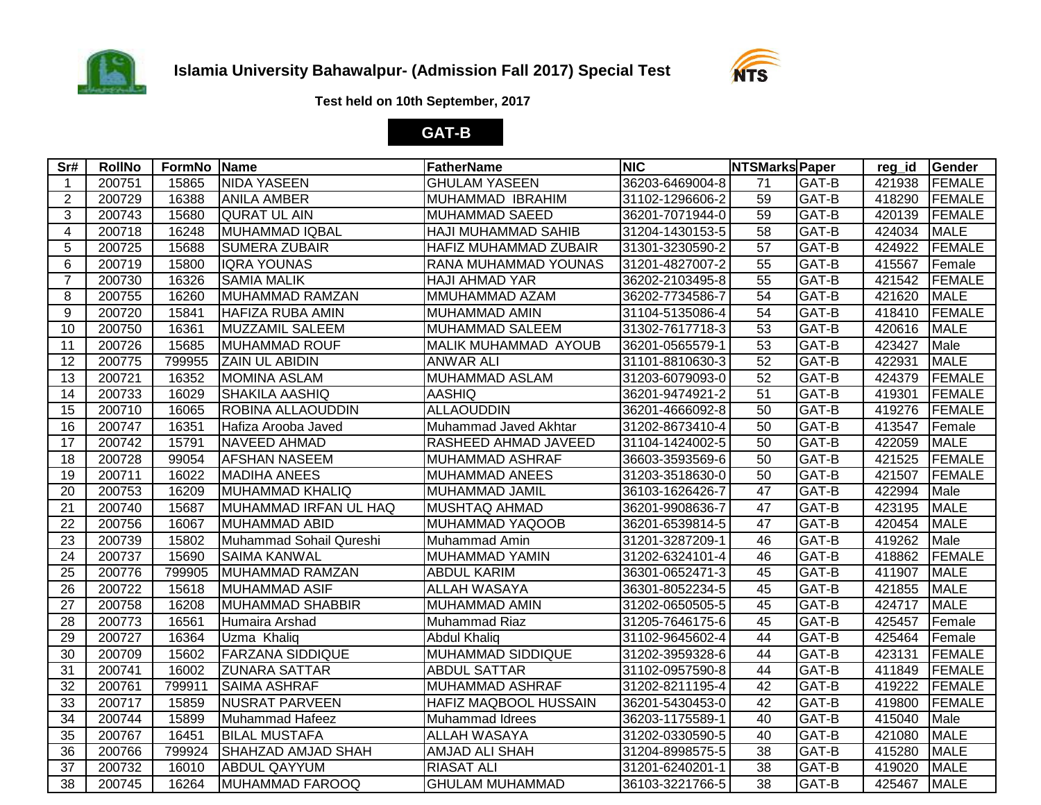



**Test held on 10th September, 2017**

## **GAT-B**

| Sr#             | <b>RollNo</b> | FormNo Name |                          | <b>FatherName</b>            | <b>NIC</b>      | <b>NTSMarks Paper</b> |       | reg_id | Gender        |
|-----------------|---------------|-------------|--------------------------|------------------------------|-----------------|-----------------------|-------|--------|---------------|
| $\overline{1}$  | 200751        | 15865       | <b>NIDA YASEEN</b>       | <b>GHULAM YASEEN</b>         | 36203-6469004-8 | 71                    | GAT-B | 421938 | <b>FEMALE</b> |
| 2               | 200729        | 16388       | <b>ANILA AMBER</b>       | MUHAMMAD IBRAHIM             | 31102-1296606-2 | 59                    | GAT-B | 418290 | FEMALE        |
| 3               | 200743        | 15680       | <b>QURAT UL AIN</b>      | <b>MUHAMMAD SAEED</b>        | 36201-7071944-0 | 59                    | GAT-B | 420139 | <b>FEMALE</b> |
| 4               | 200718        | 16248       | MUHAMMAD IQBAL           | HAJI MUHAMMAD SAHIB          | 31204-1430153-5 | 58                    | GAT-B | 424034 | <b>MALE</b>   |
| 5               | 200725        | 15688       | <b>SUMERA ZUBAIR</b>     | <b>HAFIZ MUHAMMAD ZUBAIR</b> | 31301-3230590-2 | 57                    | GAT-B | 424922 | <b>FEMALE</b> |
| 6               | 200719        | 15800       | <b>IQRA YOUNAS</b>       | RANA MUHAMMAD YOUNAS         | 31201-4827007-2 | 55                    | GAT-B | 415567 | Female        |
| $\overline{7}$  | 200730        | 16326       | <b>SAMIA MALIK</b>       | <b>HAJI AHMAD YAR</b>        | 36202-2103495-8 | 55                    | GAT-B | 421542 | <b>FEMALE</b> |
| 8               | 200755        | 16260       | MUHAMMAD RAMZAN          | MMUHAMMAD AZAM               | 36202-7734586-7 | 54                    | GAT-B | 421620 | <b>MALE</b>   |
| 9               | 200720        | 15841       | <b>HAFIZA RUBA AMIN</b>  | <b>MUHAMMAD AMIN</b>         | 31104-5135086-4 | 54                    | GAT-B | 418410 | <b>FEMALE</b> |
| 10              | 200750        | 16361       | MUZZAMIL SALEEM          | MUHAMMAD SALEEM              | 31302-7617718-3 | 53                    | GAT-B | 420616 | <b>MALE</b>   |
| 11              | 200726        | 15685       | <b>MUHAMMAD ROUF</b>     | <b>MALIK MUHAMMAD AYOUB</b>  | 36201-0565579-1 | 53                    | GAT-B | 423427 | Male          |
| 12              | 200775        | 799955      | <b>ZAIN UL ABIDIN</b>    | <b>ANWAR ALI</b>             | 31101-8810630-3 | $\overline{52}$       | GAT-B | 422931 | <b>MALE</b>   |
| 13              | 200721        | 16352       | <b>MOMINA ASLAM</b>      | <b>MUHAMMAD ASLAM</b>        | 31203-6079093-0 | 52                    | GAT-B | 424379 | <b>FEMALE</b> |
| 14              | 200733        | 16029       | <b>SHAKILA AASHIQ</b>    | <b>AASHIQ</b>                | 36201-9474921-2 | 51                    | GAT-B | 419301 | <b>FEMALE</b> |
| 15              | 200710        | 16065       | <b>ROBINA ALLAOUDDIN</b> | <b>ALLAOUDDIN</b>            | 36201-4666092-8 | 50                    | GAT-B | 419276 | <b>FEMALE</b> |
| 16              | 200747        | 16351       | Hafiza Arooba Javed      | Muhammad Javed Akhtar        | 31202-8673410-4 | 50                    | GAT-B | 413547 | Female        |
| 17              | 200742        | 15791       | NAVEED AHMAD             | RASHEED AHMAD JAVEED         | 31104-1424002-5 | 50                    | GAT-B | 422059 | <b>MALE</b>   |
| 18              | 200728        | 99054       | <b>AFSHAN NASEEM</b>     | MUHAMMAD ASHRAF              | 36603-3593569-6 | 50                    | GAT-B | 421525 | <b>FEMALE</b> |
| 19              | 200711        | 16022       | <b>MADIHA ANEES</b>      | <b>MUHAMMAD ANEES</b>        | 31203-3518630-0 | 50                    | GAT-B | 421507 | <b>FEMALE</b> |
| 20              | 200753        | 16209       | MUHAMMAD KHALIQ          | MUHAMMAD JAMIL               | 36103-1626426-7 | 47                    | GAT-B | 422994 | Male          |
| 21              | 200740        | 15687       | MUHAMMAD IRFAN UL HAQ    | MUSHTAQ AHMAD                | 36201-9908636-7 | 47                    | GAT-B | 423195 | <b>MALE</b>   |
| 22              | 200756        | 16067       | MUHAMMAD ABID            | MUHAMMAD YAQOOB              | 36201-6539814-5 | 47                    | GAT-B | 420454 | <b>MALE</b>   |
| 23              | 200739        | 15802       | Muhammad Sohail Qureshi  | Muhammad Amin                | 31201-3287209-1 | 46                    | GAT-B | 419262 | Male          |
| 24              | 200737        | 15690       | <b>SAIMA KANWAL</b>      | <b>MUHAMMAD YAMIN</b>        | 31202-6324101-4 | 46                    | GAT-B | 418862 | <b>FEMALE</b> |
| $\overline{25}$ | 200776        | 799905      | MUHAMMAD RAMZAN          | <b>ABDUL KARIM</b>           | 36301-0652471-3 | 45                    | GAT-B | 411907 | <b>MALE</b>   |
| $\overline{26}$ | 200722        | 15618       | <b>MUHAMMAD ASIF</b>     | <b>ALLAH WASAYA</b>          | 36301-8052234-5 | 45                    | GAT-B | 421855 | <b>MALE</b>   |
| 27              | 200758        | 16208       | <b>MUHAMMAD SHABBIR</b>  | <b>MUHAMMAD AMIN</b>         | 31202-0650505-5 | 45                    | GAT-B | 424717 | <b>MALE</b>   |
| 28              | 200773        | 16561       | Humaira Arshad           | Muhammad Riaz                | 31205-7646175-6 | 45                    | GAT-B | 425457 | Female        |
| 29              | 200727        | 16364       | Uzma Khaliq              | <b>Abdul Khaliq</b>          | 31102-9645602-4 | 44                    | GAT-B | 425464 | Female        |
| 30              | 200709        | 15602       | <b>FARZANA SIDDIQUE</b>  | <b>MUHAMMAD SIDDIQUE</b>     | 31202-3959328-6 | 44                    | GAT-B | 423131 | <b>FEMALE</b> |
| 31              | 200741        | 16002       | <b>ZUNARA SATTAR</b>     | <b>ABDUL SATTAR</b>          | 31102-0957590-8 | 44                    | GAT-B | 411849 | <b>FEMALE</b> |
| 32              | 200761        | 799911      | <b>SAIMA ASHRAF</b>      | <b>MUHAMMAD ASHRAF</b>       | 31202-8211195-4 | 42                    | GAT-B | 419222 | <b>FEMALE</b> |
| 33              | 200717        | 15859       | <b>NUSRAT PARVEEN</b>    | <b>HAFIZ MAQBOOL HUSSAIN</b> | 36201-5430453-0 | 42                    | GAT-B | 419800 | <b>FEMALE</b> |
| 34              | 200744        | 15899       | Muhammad Hafeez          | <b>Muhammad Idrees</b>       | 36203-1175589-1 | 40                    | GAT-B | 415040 | Male          |
| 35              | 200767        | 16451       | <b>BILAL MUSTAFA</b>     | <b>ALLAH WASAYA</b>          | 31202-0330590-5 | 40                    | GAT-B | 421080 | <b>MALE</b>   |
| 36              | 200766        | 799924      | SHAHZAD AMJAD SHAH       | AMJAD ALI SHAH               | 31204-8998575-5 | 38                    | GAT-B | 415280 | <b>MALE</b>   |
| $\overline{37}$ | 200732        | 16010       | <b>ABDUL QAYYUM</b>      | <b>RIASAT ALI</b>            | 31201-6240201-1 | $\overline{38}$       | GAT-B | 419020 | <b>MALE</b>   |
| 38              | 200745        | 16264       | MUHAMMAD FAROOQ          | <b>GHULAM MUHAMMAD</b>       | 36103-3221766-5 | $\overline{38}$       | GAT-B | 425467 | <b>MALE</b>   |